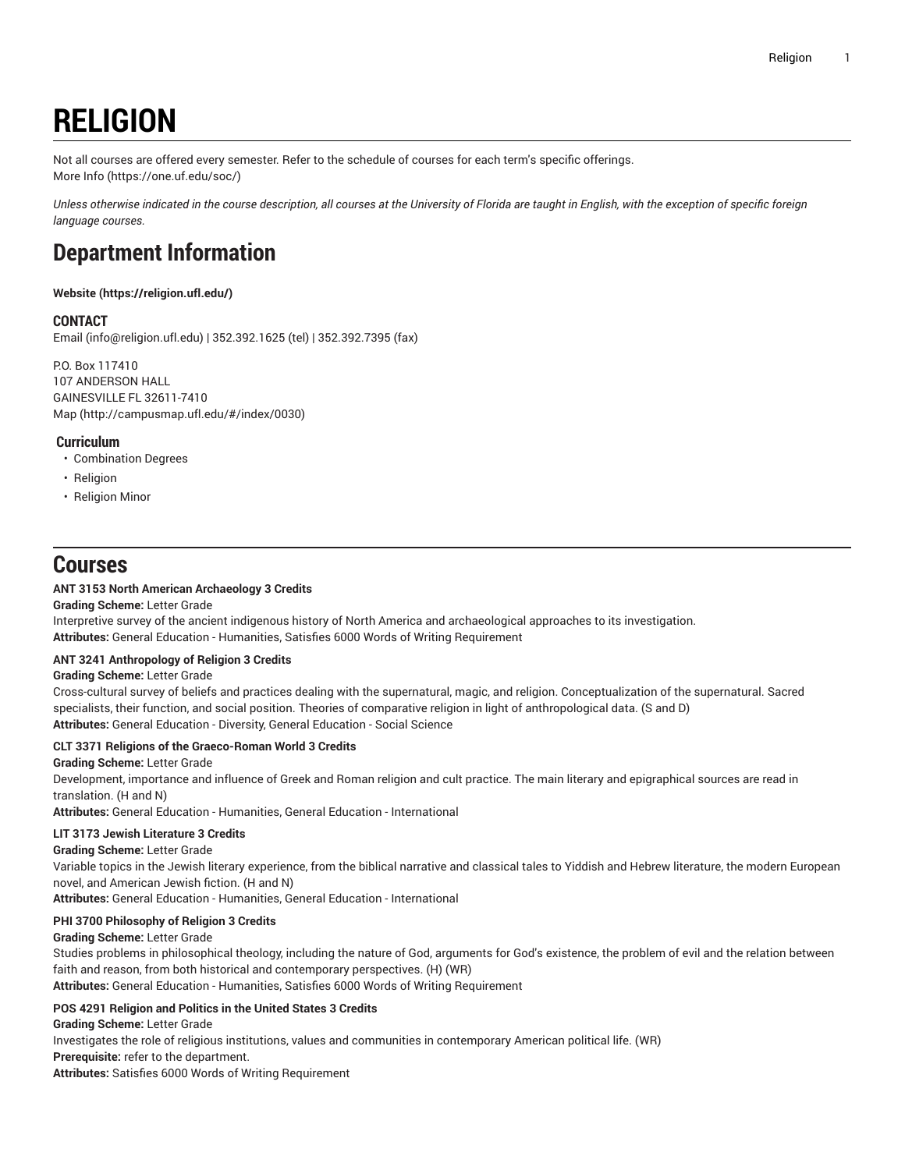# **RELIGION**

Not all courses are offered every semester. Refer to the schedule of courses for each term's specific offerings. [More](https://one.uf.edu/soc/) Info [\(https://one.uf.edu/soc/](https://one.uf.edu/soc/))

Unless otherwise indicated in the course description, all courses at the University of Florida are taught in English, with the exception of specific foreign *language courses.*

# **Department Information**

# **[Website](https://religion.ufl.edu/) ([https://religion.ufl.edu/\)](https://religion.ufl.edu/)**

# **CONTACT**

[Email](mailto:info@religion.ufl.edu) (<info@religion.ufl.edu>) | 352.392.1625 (tel) | 352.392.7395 (fax)

P.O. Box 117410 107 ANDERSON HALL GAINESVILLE FL 32611-7410 [Map](http://campusmap.ufl.edu/#/index/0030) ([http://campusmap.ufl.edu/#/index/0030\)](http://campusmap.ufl.edu/#/index/0030)

#### **Curriculum**

- Combination Degrees
- Religion
- Religion Minor

# **Courses**

# **ANT 3153 North American Archaeology 3 Credits**

**Grading Scheme:** Letter Grade

Interpretive survey of the ancient indigenous history of North America and archaeological approaches to its investigation. **Attributes:** General Education - Humanities, Satisfies 6000 Words of Writing Requirement

# **ANT 3241 Anthropology of Religion 3 Credits**

#### **Grading Scheme:** Letter Grade

Cross-cultural survey of beliefs and practices dealing with the supernatural, magic, and religion. Conceptualization of the supernatural. Sacred specialists, their function, and social position. Theories of comparative religion in light of anthropological data. (S and D) **Attributes:** General Education - Diversity, General Education - Social Science

# **CLT 3371 Religions of the Graeco-Roman World 3 Credits**

#### **Grading Scheme:** Letter Grade

Development, importance and influence of Greek and Roman religion and cult practice. The main literary and epigraphical sources are read in translation. (H and N)

**Attributes:** General Education - Humanities, General Education - International

# **LIT 3173 Jewish Literature 3 Credits**

#### **Grading Scheme:** Letter Grade

Variable topics in the Jewish literary experience, from the biblical narrative and classical tales to Yiddish and Hebrew literature, the modern European novel, and American Jewish fiction. (H and N)

**Attributes:** General Education - Humanities, General Education - International

#### **PHI 3700 Philosophy of Religion 3 Credits**

#### **Grading Scheme:** Letter Grade

Studies problems in philosophical theology, including the nature of God, arguments for God's existence, the problem of evil and the relation between faith and reason, from both historical and contemporary perspectives. (H) (WR)

**Attributes:** General Education - Humanities, Satisfies 6000 Words of Writing Requirement

# **POS 4291 Religion and Politics in the United States 3 Credits**

**Grading Scheme:** Letter Grade Investigates the role of religious institutions, values and communities in contemporary American political life. (WR) **Prerequisite:** refer to the department. **Attributes:** Satisfies 6000 Words of Writing Requirement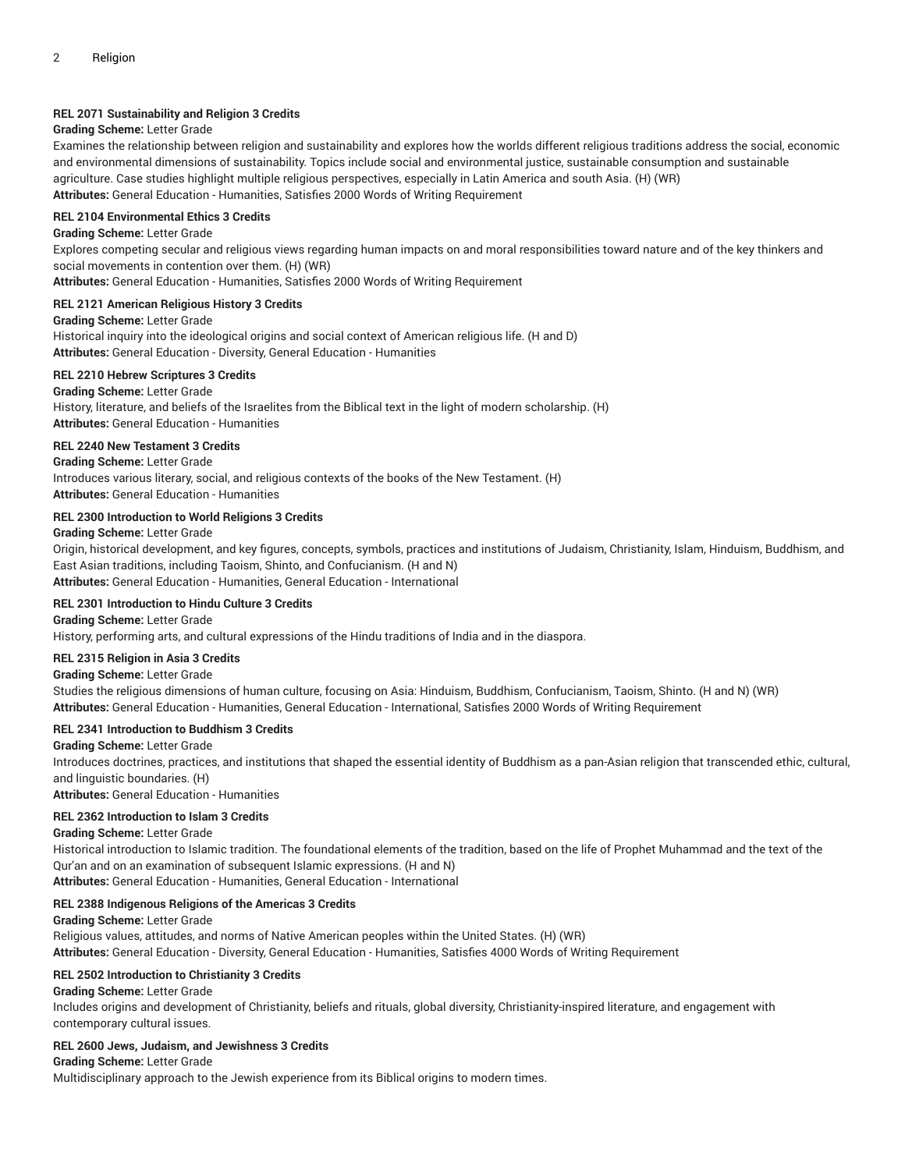# **REL 2071 Sustainability and Religion 3 Credits**

#### **Grading Scheme:** Letter Grade

Examines the relationship between religion and sustainability and explores how the worlds different religious traditions address the social, economic and environmental dimensions of sustainability. Topics include social and environmental justice, sustainable consumption and sustainable agriculture. Case studies highlight multiple religious perspectives, especially in Latin America and south Asia. (H) (WR) **Attributes:** General Education - Humanities, Satisfies 2000 Words of Writing Requirement

# **REL 2104 Environmental Ethics 3 Credits**

# **Grading Scheme:** Letter Grade

Explores competing secular and religious views regarding human impacts on and moral responsibilities toward nature and of the key thinkers and social movements in contention over them. (H) (WR)

**Attributes:** General Education - Humanities, Satisfies 2000 Words of Writing Requirement

#### **REL 2121 American Religious History 3 Credits**

#### **Grading Scheme:** Letter Grade

Historical inquiry into the ideological origins and social context of American religious life. (H and D) **Attributes:** General Education - Diversity, General Education - Humanities

#### **REL 2210 Hebrew Scriptures 3 Credits**

**Grading Scheme:** Letter Grade History, literature, and beliefs of the Israelites from the Biblical text in the light of modern scholarship. (H) **Attributes:** General Education - Humanities

#### **REL 2240 New Testament 3 Credits**

**Grading Scheme:** Letter Grade Introduces various literary, social, and religious contexts of the books of the New Testament. (H) **Attributes:** General Education - Humanities

#### **REL 2300 Introduction to World Religions 3 Credits**

#### **Grading Scheme:** Letter Grade

Origin, historical development, and key figures, concepts, symbols, practices and institutions of Judaism, Christianity, Islam, Hinduism, Buddhism, and East Asian traditions, including Taoism, Shinto, and Confucianism. (H and N) **Attributes:** General Education - Humanities, General Education - International

# **REL 2301 Introduction to Hindu Culture 3 Credits**

**Grading Scheme:** Letter Grade History, performing arts, and cultural expressions of the Hindu traditions of India and in the diaspora.

# **REL 2315 Religion in Asia 3 Credits**

# **Grading Scheme:** Letter Grade

Studies the religious dimensions of human culture, focusing on Asia: Hinduism, Buddhism, Confucianism, Taoism, Shinto. (H and N) (WR) **Attributes:** General Education - Humanities, General Education - International, Satisfies 2000 Words of Writing Requirement

# **REL 2341 Introduction to Buddhism 3 Credits**

**Grading Scheme:** Letter Grade Introduces doctrines, practices, and institutions that shaped the essential identity of Buddhism as a pan-Asian religion that transcended ethic, cultural, and linguistic boundaries. (H)

**Attributes:** General Education - Humanities

#### **REL 2362 Introduction to Islam 3 Credits**

#### **Grading Scheme:** Letter Grade

Historical introduction to Islamic tradition. The foundational elements of the tradition, based on the life of Prophet Muhammad and the text of the Qur'an and on an examination of subsequent Islamic expressions. (H and N) **Attributes:** General Education - Humanities, General Education - International

#### **REL 2388 Indigenous Religions of the Americas 3 Credits**

#### **Grading Scheme:** Letter Grade

Religious values, attitudes, and norms of Native American peoples within the United States. (H) (WR) **Attributes:** General Education - Diversity, General Education - Humanities, Satisfies 4000 Words of Writing Requirement

#### **REL 2502 Introduction to Christianity 3 Credits**

#### **Grading Scheme:** Letter Grade

Includes origins and development of Christianity, beliefs and rituals, global diversity, Christianity-inspired literature, and engagement with contemporary cultural issues.

# **REL 2600 Jews, Judaism, and Jewishness 3 Credits**

**Grading Scheme:** Letter Grade

Multidisciplinary approach to the Jewish experience from its Biblical origins to modern times.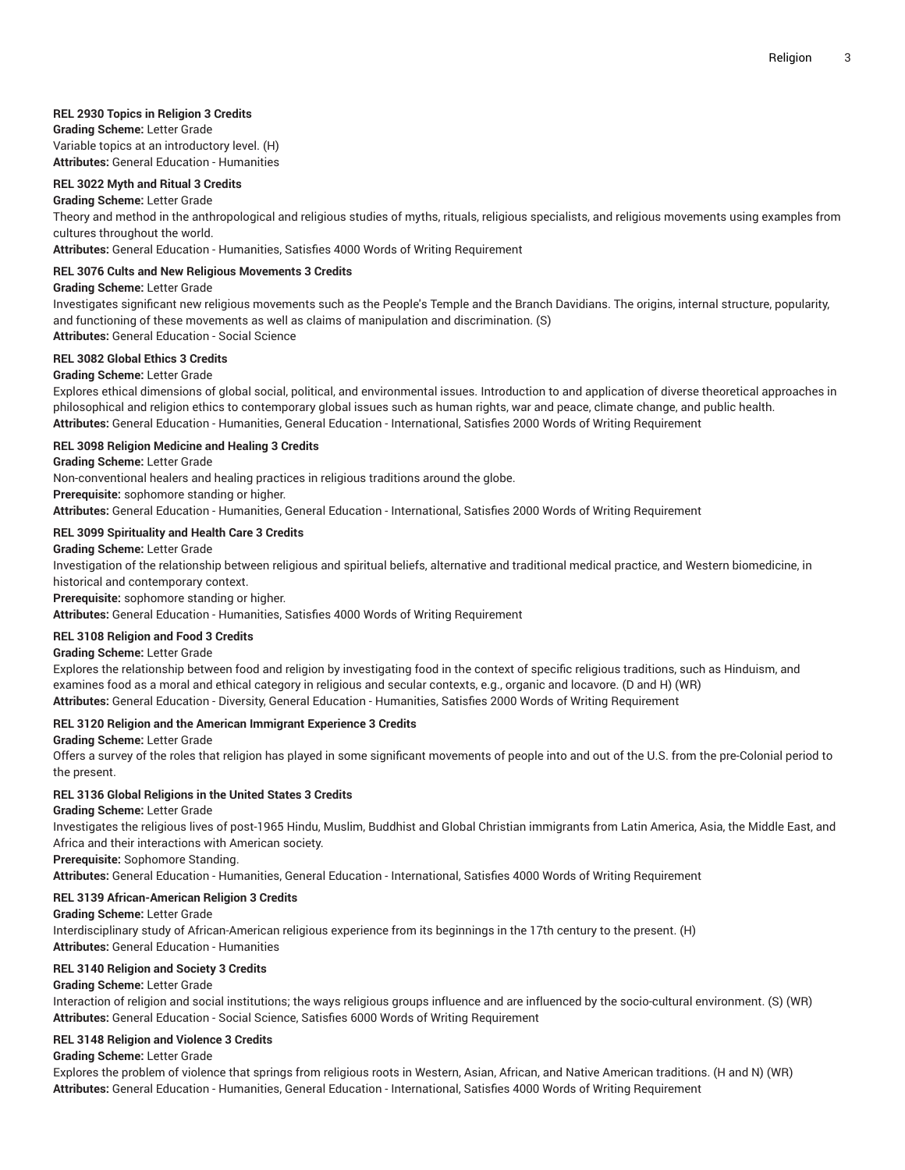#### **REL 2930 Topics in Religion 3 Credits**

**Grading Scheme:** Letter Grade Variable topics at an introductory level. (H) **Attributes:** General Education - Humanities

#### **REL 3022 Myth and Ritual 3 Credits**

#### **Grading Scheme:** Letter Grade

Theory and method in the anthropological and religious studies of myths, rituals, religious specialists, and religious movements using examples from cultures throughout the world.

**Attributes:** General Education - Humanities, Satisfies 4000 Words of Writing Requirement

# **REL 3076 Cults and New Religious Movements 3 Credits**

### **Grading Scheme:** Letter Grade

Investigates significant new religious movements such as the People's Temple and the Branch Davidians. The origins, internal structure, popularity, and functioning of these movements as well as claims of manipulation and discrimination. (S)

**Attributes:** General Education - Social Science

# **REL 3082 Global Ethics 3 Credits**

#### **Grading Scheme:** Letter Grade

Explores ethical dimensions of global social, political, and environmental issues. Introduction to and application of diverse theoretical approaches in philosophical and religion ethics to contemporary global issues such as human rights, war and peace, climate change, and public health. **Attributes:** General Education - Humanities, General Education - International, Satisfies 2000 Words of Writing Requirement

#### **REL 3098 Religion Medicine and Healing 3 Credits**

**Grading Scheme:** Letter Grade

Non-conventional healers and healing practices in religious traditions around the globe.

**Prerequisite:** sophomore standing or higher.

**Attributes:** General Education - Humanities, General Education - International, Satisfies 2000 Words of Writing Requirement

#### **REL 3099 Spirituality and Health Care 3 Credits**

**Grading Scheme:** Letter Grade

Investigation of the relationship between religious and spiritual beliefs, alternative and traditional medical practice, and Western biomedicine, in historical and contemporary context.

**Prerequisite:** sophomore standing or higher.

**Attributes:** General Education - Humanities, Satisfies 4000 Words of Writing Requirement

#### **REL 3108 Religion and Food 3 Credits**

**Grading Scheme:** Letter Grade

Explores the relationship between food and religion by investigating food in the context of specific religious traditions, such as Hinduism, and examines food as a moral and ethical category in religious and secular contexts, e.g., organic and locavore. (D and H) (WR) **Attributes:** General Education - Diversity, General Education - Humanities, Satisfies 2000 Words of Writing Requirement

#### **REL 3120 Religion and the American Immigrant Experience 3 Credits**

**Grading Scheme:** Letter Grade

Offers a survey of the roles that religion has played in some significant movements of people into and out of the U.S. from the pre-Colonial period to the present.

#### **REL 3136 Global Religions in the United States 3 Credits**

**Grading Scheme:** Letter Grade

Investigates the religious lives of post-1965 Hindu, Muslim, Buddhist and Global Christian immigrants from Latin America, Asia, the Middle East, and Africa and their interactions with American society.

**Prerequisite:** Sophomore Standing.

**Attributes:** General Education - Humanities, General Education - International, Satisfies 4000 Words of Writing Requirement

#### **REL 3139 African-American Religion 3 Credits**

#### **Grading Scheme:** Letter Grade

Interdisciplinary study of African-American religious experience from its beginnings in the 17th century to the present. (H) **Attributes:** General Education - Humanities

#### **REL 3140 Religion and Society 3 Credits**

#### **Grading Scheme:** Letter Grade

Interaction of religion and social institutions; the ways religious groups influence and are influenced by the socio-cultural environment. (S) (WR) **Attributes:** General Education - Social Science, Satisfies 6000 Words of Writing Requirement

#### **REL 3148 Religion and Violence 3 Credits**

#### **Grading Scheme:** Letter Grade

Explores the problem of violence that springs from religious roots in Western, Asian, African, and Native American traditions. (H and N) (WR) **Attributes:** General Education - Humanities, General Education - International, Satisfies 4000 Words of Writing Requirement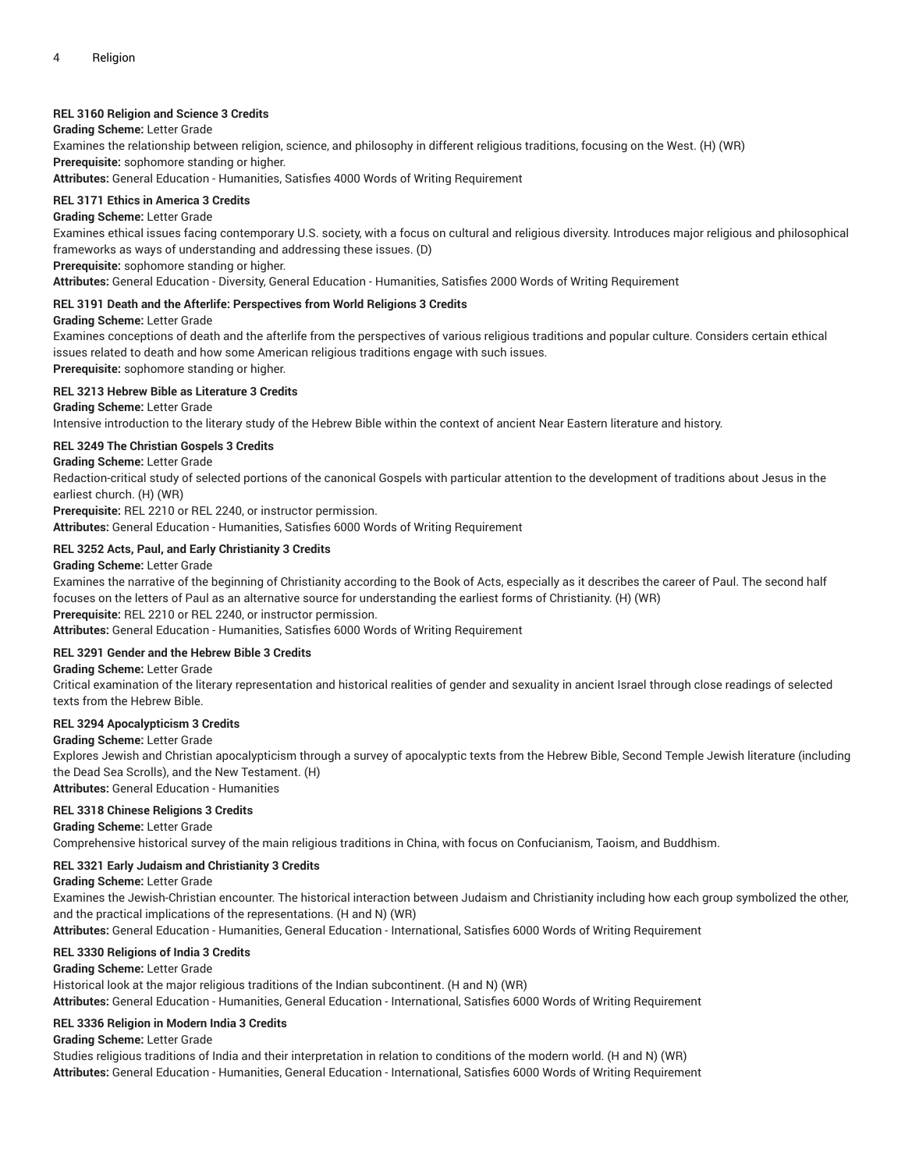# **REL 3160 Religion and Science 3 Credits**

#### **Grading Scheme:** Letter Grade

Examines the relationship between religion, science, and philosophy in different religious traditions, focusing on the West. (H) (WR) **Prerequisite:** sophomore standing or higher.

**Attributes:** General Education - Humanities, Satisfies 4000 Words of Writing Requirement

#### **REL 3171 Ethics in America 3 Credits**

#### **Grading Scheme:** Letter Grade

Examines ethical issues facing contemporary U.S. society, with a focus on cultural and religious diversity. Introduces major religious and philosophical frameworks as ways of understanding and addressing these issues. (D)

**Prerequisite:** sophomore standing or higher.

**Attributes:** General Education - Diversity, General Education - Humanities, Satisfies 2000 Words of Writing Requirement

#### **REL 3191 Death and the Afterlife: Perspectives from World Religions 3 Credits**

#### **Grading Scheme:** Letter Grade

Examines conceptions of death and the afterlife from the perspectives of various religious traditions and popular culture. Considers certain ethical issues related to death and how some American religious traditions engage with such issues. **Prerequisite:** sophomore standing or higher.

#### **REL 3213 Hebrew Bible as Literature 3 Credits**

**Grading Scheme:** Letter Grade Intensive introduction to the literary study of the Hebrew Bible within the context of ancient Near Eastern literature and history.

#### **REL 3249 The Christian Gospels 3 Credits**

#### **Grading Scheme:** Letter Grade

Redaction-critical study of selected portions of the canonical Gospels with particular attention to the development of traditions about Jesus in the earliest church. (H) (WR)

**Prerequisite:** REL 2210 or REL 2240, or instructor permission.

**Attributes:** General Education - Humanities, Satisfies 6000 Words of Writing Requirement

#### **REL 3252 Acts, Paul, and Early Christianity 3 Credits**

#### **Grading Scheme:** Letter Grade

Examines the narrative of the beginning of Christianity according to the Book of Acts, especially as it describes the career of Paul. The second half focuses on the letters of Paul as an alternative source for understanding the earliest forms of Christianity. (H) (WR) **Prerequisite:** REL 2210 or REL 2240, or instructor permission.

**Attributes:** General Education - Humanities, Satisfies 6000 Words of Writing Requirement

#### **REL 3291 Gender and the Hebrew Bible 3 Credits**

**Grading Scheme:** Letter Grade

Critical examination of the literary representation and historical realities of gender and sexuality in ancient Israel through close readings of selected texts from the Hebrew Bible.

#### **REL 3294 Apocalypticism 3 Credits**

#### **Grading Scheme:** Letter Grade

Explores Jewish and Christian apocalypticism through a survey of apocalyptic texts from the Hebrew Bible, Second Temple Jewish literature (including the Dead Sea Scrolls), and the New Testament. (H)

**Attributes:** General Education - Humanities

# **REL 3318 Chinese Religions 3 Credits**

**Grading Scheme:** Letter Grade Comprehensive historical survey of the main religious traditions in China, with focus on Confucianism, Taoism, and Buddhism.

#### **REL 3321 Early Judaism and Christianity 3 Credits**

#### **Grading Scheme:** Letter Grade

Examines the Jewish-Christian encounter. The historical interaction between Judaism and Christianity including how each group symbolized the other, and the practical implications of the representations. (H and N) (WR)

**Attributes:** General Education - Humanities, General Education - International, Satisfies 6000 Words of Writing Requirement

#### **REL 3330 Religions of India 3 Credits**

**Grading Scheme:** Letter Grade

Historical look at the major religious traditions of the Indian subcontinent. (H and N) (WR)

**Attributes:** General Education - Humanities, General Education - International, Satisfies 6000 Words of Writing Requirement

#### **REL 3336 Religion in Modern India 3 Credits**

**Grading Scheme:** Letter Grade

Studies religious traditions of India and their interpretation in relation to conditions of the modern world. (H and N) (WR) **Attributes:** General Education - Humanities, General Education - International, Satisfies 6000 Words of Writing Requirement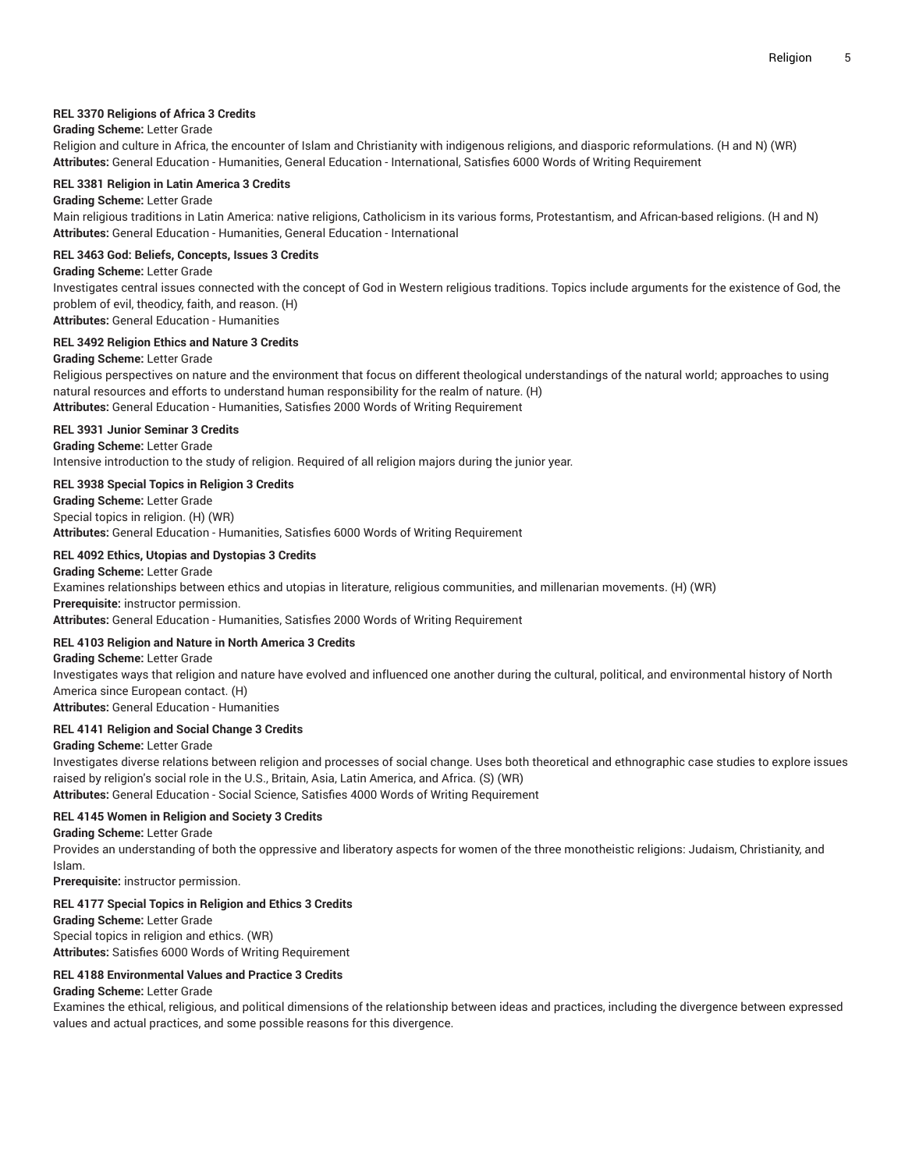# **REL 3370 Religions of Africa 3 Credits**

### **Grading Scheme:** Letter Grade

Religion and culture in Africa, the encounter of Islam and Christianity with indigenous religions, and diasporic reformulations. (H and N) (WR) **Attributes:** General Education - Humanities, General Education - International, Satisfies 6000 Words of Writing Requirement

#### **REL 3381 Religion in Latin America 3 Credits**

# **Grading Scheme:** Letter Grade

Main religious traditions in Latin America: native religions, Catholicism in its various forms, Protestantism, and African-based religions. (H and N) **Attributes:** General Education - Humanities, General Education - International

#### **REL 3463 God: Beliefs, Concepts, Issues 3 Credits**

#### **Grading Scheme:** Letter Grade

Investigates central issues connected with the concept of God in Western religious traditions. Topics include arguments for the existence of God, the problem of evil, theodicy, faith, and reason. (H) **Attributes:** General Education - Humanities

#### **REL 3492 Religion Ethics and Nature 3 Credits**

#### **Grading Scheme:** Letter Grade

Religious perspectives on nature and the environment that focus on different theological understandings of the natural world; approaches to using natural resources and efforts to understand human responsibility for the realm of nature. (H) **Attributes:** General Education - Humanities, Satisfies 2000 Words of Writing Requirement

#### **REL 3931 Junior Seminar 3 Credits**

**Grading Scheme:** Letter Grade Intensive introduction to the study of religion. Required of all religion majors during the junior year.

#### **REL 3938 Special Topics in Religion 3 Credits**

**Grading Scheme:** Letter Grade Special topics in religion. (H) (WR) **Attributes:** General Education - Humanities, Satisfies 6000 Words of Writing Requirement

#### **REL 4092 Ethics, Utopias and Dystopias 3 Credits**

**Grading Scheme:** Letter Grade Examines relationships between ethics and utopias in literature, religious communities, and millenarian movements. (H) (WR) **Prerequisite:** instructor permission. **Attributes:** General Education - Humanities, Satisfies 2000 Words of Writing Requirement

# **REL 4103 Religion and Nature in North America 3 Credits**

**Grading Scheme:** Letter Grade Investigates ways that religion and nature have evolved and influenced one another during the cultural, political, and environmental history of North America since European contact. (H) **Attributes:** General Education - Humanities

# **REL 4141 Religion and Social Change 3 Credits**

**Grading Scheme:** Letter Grade

Investigates diverse relations between religion and processes of social change. Uses both theoretical and ethnographic case studies to explore issues raised by religion's social role in the U.S., Britain, Asia, Latin America, and Africa. (S) (WR)

**Attributes:** General Education - Social Science, Satisfies 4000 Words of Writing Requirement

#### **REL 4145 Women in Religion and Society 3 Credits**

#### **Grading Scheme:** Letter Grade

Provides an understanding of both the oppressive and liberatory aspects for women of the three monotheistic religions: Judaism, Christianity, and Islam.

**Prerequisite:** instructor permission.

#### **REL 4177 Special Topics in Religion and Ethics 3 Credits**

**Grading Scheme:** Letter Grade Special topics in religion and ethics. (WR) **Attributes:** Satisfies 6000 Words of Writing Requirement

# **REL 4188 Environmental Values and Practice 3 Credits**

# **Grading Scheme:** Letter Grade

Examines the ethical, religious, and political dimensions of the relationship between ideas and practices, including the divergence between expressed values and actual practices, and some possible reasons for this divergence.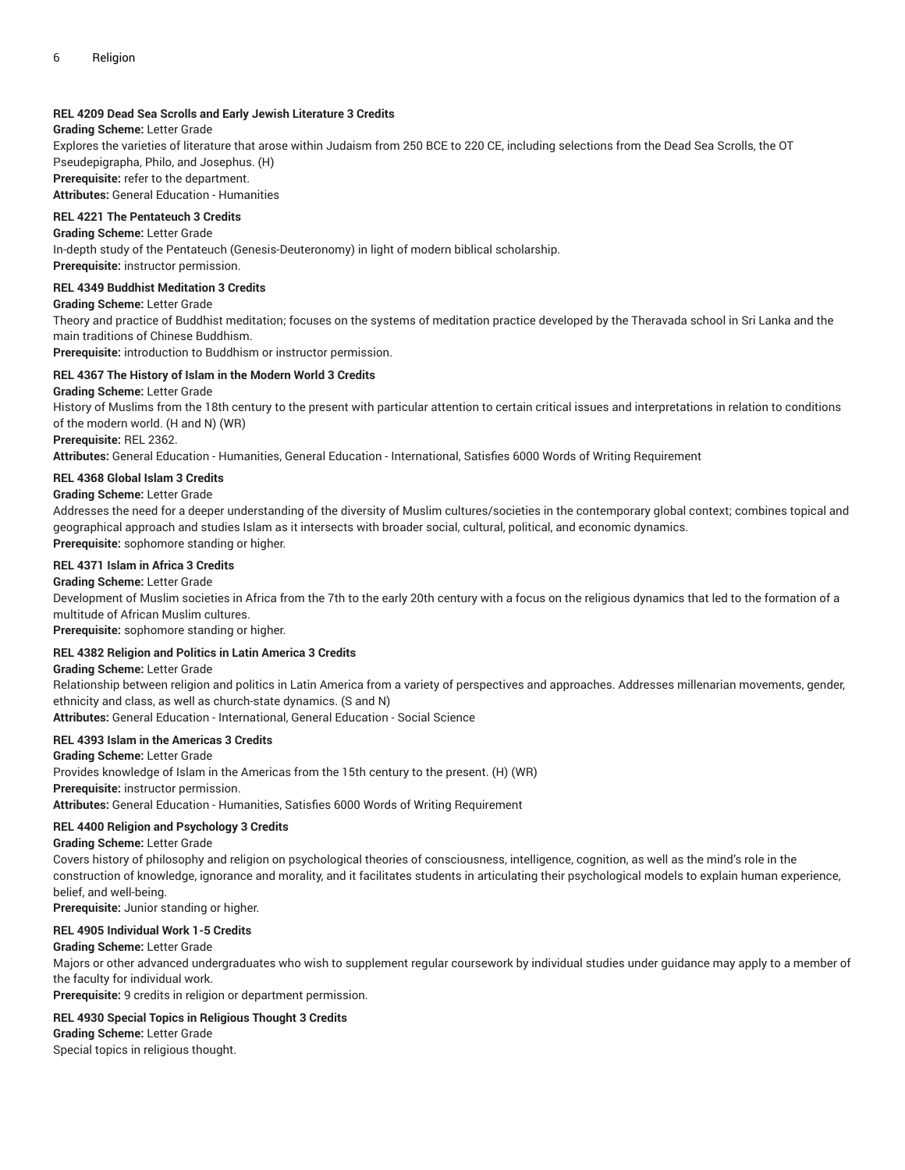# **REL 4209 Dead Sea Scrolls and Early Jewish Literature 3 Credits**

# **Grading Scheme:** Letter Grade

Explores the varieties of literature that arose within Judaism from 250 BCE to 220 CE, including selections from the Dead Sea Scrolls, the OT Pseudepigrapha, Philo, and Josephus. (H)

**Prerequisite:** refer to the department.

**Attributes:** General Education - Humanities

# **REL 4221 The Pentateuch 3 Credits**

**Grading Scheme:** Letter Grade

In-depth study of the Pentateuch (Genesis-Deuteronomy) in light of modern biblical scholarship. **Prerequisite:** instructor permission.

**REL 4349 Buddhist Meditation 3 Credits**

**Grading Scheme:** Letter Grade

Theory and practice of Buddhist meditation; focuses on the systems of meditation practice developed by the Theravada school in Sri Lanka and the main traditions of Chinese Buddhism.

**Prerequisite:** introduction to Buddhism or instructor permission.

# **REL 4367 The History of Islam in the Modern World 3 Credits**

#### **Grading Scheme:** Letter Grade

History of Muslims from the 18th century to the present with particular attention to certain critical issues and interpretations in relation to conditions of the modern world. (H and N) (WR)

**Prerequisite:** REL 2362.

**Attributes:** General Education - Humanities, General Education - International, Satisfies 6000 Words of Writing Requirement

#### **REL 4368 Global Islam 3 Credits**

#### **Grading Scheme:** Letter Grade

Addresses the need for a deeper understanding of the diversity of Muslim cultures/societies in the contemporary global context; combines topical and geographical approach and studies Islam as it intersects with broader social, cultural, political, and economic dynamics. **Prerequisite:** sophomore standing or higher.

#### **REL 4371 Islam in Africa 3 Credits**

#### **Grading Scheme:** Letter Grade

Development of Muslim societies in Africa from the 7th to the early 20th century with a focus on the religious dynamics that led to the formation of a multitude of African Muslim cultures.

**Prerequisite:** sophomore standing or higher.

#### **REL 4382 Religion and Politics in Latin America 3 Credits**

**Grading Scheme:** Letter Grade

Relationship between religion and politics in Latin America from a variety of perspectives and approaches. Addresses millenarian movements, gender, ethnicity and class, as well as church-state dynamics. (S and N)

**Attributes:** General Education - International, General Education - Social Science

# **REL 4393 Islam in the Americas 3 Credits**

**Grading Scheme:** Letter Grade Provides knowledge of Islam in the Americas from the 15th century to the present. (H) (WR) **Prerequisite:** instructor permission. **Attributes:** General Education - Humanities, Satisfies 6000 Words of Writing Requirement

#### **REL 4400 Religion and Psychology 3 Credits**

**Grading Scheme:** Letter Grade

Covers history of philosophy and religion on psychological theories of consciousness, intelligence, cognition, as well as the mind's role in the construction of knowledge, ignorance and morality, and it facilitates students in articulating their psychological models to explain human experience, belief, and well-being.

**Prerequisite:** Junior standing or higher.

#### **REL 4905 Individual Work 1-5 Credits**

#### **Grading Scheme:** Letter Grade

Majors or other advanced undergraduates who wish to supplement regular coursework by individual studies under guidance may apply to a member of the faculty for individual work.

**Prerequisite:** 9 credits in religion or department permission.

# **REL 4930 Special Topics in Religious Thought 3 Credits**

**Grading Scheme:** Letter Grade

Special topics in religious thought.